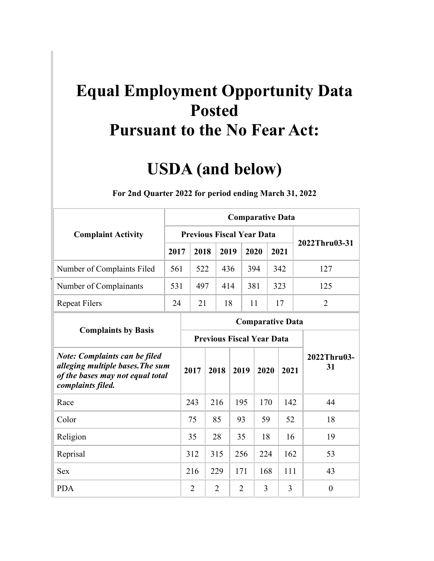## **Pursuant to the No Fear Act: Equal Employment Opportunity Data Posted**

## **USDA (and below)**

|                                                                                                                                   |      |                                  |                                  |      |                |      | <b>Comparative Data</b> |      |                   |
|-----------------------------------------------------------------------------------------------------------------------------------|------|----------------------------------|----------------------------------|------|----------------|------|-------------------------|------|-------------------|
| <b>Complaint Activity</b>                                                                                                         |      | <b>Previous Fiscal Year Data</b> |                                  |      |                |      |                         |      | 2022Thru03-31     |
|                                                                                                                                   | 2017 | 2018                             |                                  | 2019 |                | 2020 |                         | 2021 |                   |
| Number of Complaints Filed                                                                                                        | 561  | 522                              |                                  | 436  |                | 394  |                         | 342  | 127               |
| Number of Complainants                                                                                                            | 531  | 497                              |                                  | 414  |                | 381  |                         | 323  | 125               |
| <b>Repeat Filers</b>                                                                                                              | 24   | 21                               |                                  | 18   |                | 11   |                         | 17   | $\overline{2}$    |
| <b>Complaints by Basis</b>                                                                                                        |      |                                  |                                  |      |                |      | <b>Comparative Data</b> |      |                   |
|                                                                                                                                   |      |                                  | <b>Previous Fiscal Year Data</b> |      |                |      |                         |      |                   |
| <b>Note: Complaints can be filed</b><br>alleging multiple bases. The sum<br>of the bases may not equal total<br>complaints filed. |      | 2017                             | 2018                             |      | 2019           |      | 2020                    | 2021 | 2022Thru03-<br>31 |
| Race                                                                                                                              |      | 243                              | 216                              |      | 195            |      | 170                     | 142  | 44                |
| Color                                                                                                                             |      | 75                               | 85                               |      | 93             |      | 59                      | 52   | 18                |
| Religion                                                                                                                          |      | 35                               | 28                               |      | 35             |      | 18                      | 16   | 19                |
| Reprisal                                                                                                                          |      | 312                              | 315                              |      | 256            |      | 224                     | 162  | 53                |
| Sex                                                                                                                               |      | 216                              | 229                              |      | 171            |      | 168                     | 111  | 43                |
| <b>PDA</b>                                                                                                                        |      | $\overline{2}$                   | $\overline{2}$                   |      | $\overline{2}$ |      | 3                       | 3    | $\overline{0}$    |

**For 2nd Quarter 2022 for period ending March 31, 2022**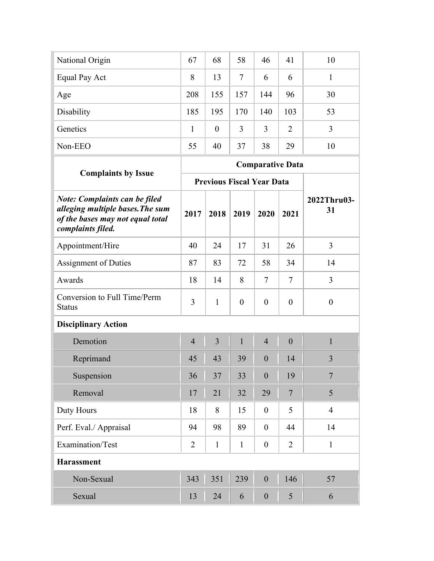| National Origin | 67  | 68       | 58  | 46  | 41             | 10 |
|-----------------|-----|----------|-----|-----|----------------|----|
| Equal Pay Act   | 8   | 13       | 7   | 6   | 6              |    |
| Age             | 208 | 155      | 157 | 144 | 96             | 30 |
| Disability      | 185 | 195      | 170 | 140 | 103            | 53 |
| Genetics        | 1   | $\theta$ | 3   | 3   | $\overline{2}$ | 3  |
| Non-EEO         | 55  | 40       | 37  | 38  | 29             | 10 |
|                 |     |          |     |     |                |    |

|                                                                                                                                   |                |                |                | <b>Comparative Data</b>          |                 |                   |
|-----------------------------------------------------------------------------------------------------------------------------------|----------------|----------------|----------------|----------------------------------|-----------------|-------------------|
| <b>Complaints by Issue</b>                                                                                                        |                |                |                | <b>Previous Fiscal Year Data</b> |                 |                   |
| <b>Note: Complaints can be filed</b><br>alleging multiple bases. The sum<br>of the bases may not equal total<br>complaints filed. | 2017           | 2018           | 2019           | 2020                             | 2021            | 2022Thru03-<br>31 |
| Appointment/Hire                                                                                                                  | 40             | 24             | 17             | 31                               | 26              | $\overline{3}$    |
| <b>Assignment of Duties</b>                                                                                                       | 87             | 83             | 72             | 58                               | 34              | 14                |
| Awards                                                                                                                            | 18             | 14             | 8              | 7                                | $\tau$          | $\overline{3}$    |
| Conversion to Full Time/Perm<br><b>Status</b>                                                                                     | 3              | $\mathbf{1}$   | $\overline{0}$ | $\overline{0}$                   | $\mathbf{0}$    | $\boldsymbol{0}$  |
| <b>Disciplinary Action</b>                                                                                                        |                |                |                |                                  |                 |                   |
| Demotion                                                                                                                          | $\overline{4}$ | $\overline{3}$ | $\mathbf{1}$   | $\overline{4}$                   | $\overline{0}$  | $\mathbf{1}$      |
| Reprimand                                                                                                                         | 45             | 43             | 39             | $\theta$                         | 14              | 3                 |
| Suspension                                                                                                                        | 36             | 37             | 33             | $\overline{0}$                   | 19              | $\overline{7}$    |
| Removal                                                                                                                           | 17             | 21             | 32             | 29                               | $7\phantom{.0}$ | 5                 |
| Duty Hours                                                                                                                        | 18             | 8              | 15             | $\theta$                         | 5               | $\overline{4}$    |
| Perf. Eval./ Appraisal                                                                                                            | 94             | 98             | 89             | $\theta$                         | 44              | 14                |
| Examination/Test                                                                                                                  | $\overline{2}$ | $\mathbf{1}$   | $\mathbf{1}$   | $\mathbf{0}$                     | $\overline{2}$  | $\mathbf{1}$      |
| <b>Harassment</b>                                                                                                                 |                |                |                |                                  |                 |                   |
| Non-Sexual                                                                                                                        | 343            | 351            | 239            | $\overline{0}$                   | 146             | 57                |
| Sexual                                                                                                                            | 13             | 24             | 6              | $\boldsymbol{0}$                 | 5               | 6                 |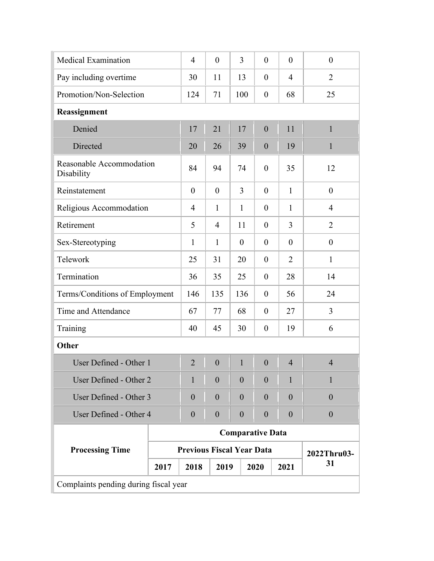|                                       | 4                                               | $\theta$         | 3                | $\overline{0}$   | $\theta$         | $\theta$         |  |  |  |
|---------------------------------------|-------------------------------------------------|------------------|------------------|------------------|------------------|------------------|--|--|--|
|                                       | 30                                              | 11               | 13               | $\boldsymbol{0}$ | $\overline{4}$   | $\overline{2}$   |  |  |  |
|                                       | 124                                             | 71               | 100              | $\boldsymbol{0}$ | 68               | 25               |  |  |  |
|                                       |                                                 |                  |                  |                  |                  |                  |  |  |  |
|                                       | 17                                              | 21               | 17               | $\boldsymbol{0}$ | 11               | $\mathbf{1}$     |  |  |  |
|                                       | 20                                              | 26               | 39               | $\mathbf{0}$     | 19               | $\mathbf{1}$     |  |  |  |
| Reasonable Accommodation              | 84                                              | 94               | 74               | $\overline{0}$   | 35               | 12               |  |  |  |
|                                       | $\overline{0}$                                  | $\overline{0}$   | $\overline{3}$   | $\overline{0}$   | $\mathbf{1}$     | $\theta$         |  |  |  |
|                                       | 4                                               | $\mathbf{1}$     | $\mathbf{1}$     | $\boldsymbol{0}$ | $\mathbf{1}$     | $\overline{4}$   |  |  |  |
|                                       | 5                                               | $\overline{4}$   | 11               | $\boldsymbol{0}$ | 3                | $\overline{2}$   |  |  |  |
|                                       | $\mathbf{1}$                                    | $\mathbf{1}$     | $\boldsymbol{0}$ | $\boldsymbol{0}$ | $\boldsymbol{0}$ | $\boldsymbol{0}$ |  |  |  |
|                                       | 25                                              | 31               | 20               | $\boldsymbol{0}$ | $\overline{2}$   | $\mathbf{1}$     |  |  |  |
|                                       | 36                                              | 35               | 25               | $\boldsymbol{0}$ | 28               | 14               |  |  |  |
| Terms/Conditions of Employment        | 146                                             | 135              | 136              | $\boldsymbol{0}$ | 56               | 24               |  |  |  |
|                                       | 67                                              | 77               | 68               | $\boldsymbol{0}$ | 27               | 3                |  |  |  |
|                                       | 40                                              | 45               | 30               | $\boldsymbol{0}$ | 19               | 6                |  |  |  |
|                                       |                                                 |                  |                  |                  |                  |                  |  |  |  |
| User Defined - Other 1                | $\overline{2}$                                  | $\boldsymbol{0}$ | $\mathbf{1}$     | $\boldsymbol{0}$ | $\overline{4}$   | $\overline{4}$   |  |  |  |
| User Defined - Other 2                | $\mathbf{1}$                                    | $\theta$         | $\theta$         | $\theta$         | $\mathbf{1}$     | 1                |  |  |  |
| User Defined - Other 3                | $\boldsymbol{0}$                                | $\overline{0}$   | $\theta$         | $\theta$         | $\overline{0}$   | $\theta$         |  |  |  |
| User Defined - Other 4                | $\boldsymbol{0}$                                | $\boldsymbol{0}$ | $\boldsymbol{0}$ | $\boldsymbol{0}$ | $\boldsymbol{0}$ | $\boldsymbol{0}$ |  |  |  |
|                                       | <b>Comparative Data</b>                         |                  |                  |                  |                  |                  |  |  |  |
|                                       | <b>Previous Fiscal Year Data</b><br>2022Thru03- |                  |                  |                  |                  |                  |  |  |  |
| 2017                                  | 2018                                            |                  |                  |                  | 2021             | 31               |  |  |  |
| Complaints pending during fiscal year |                                                 |                  |                  |                  |                  |                  |  |  |  |
|                                       |                                                 |                  |                  | 2019             | 2020             |                  |  |  |  |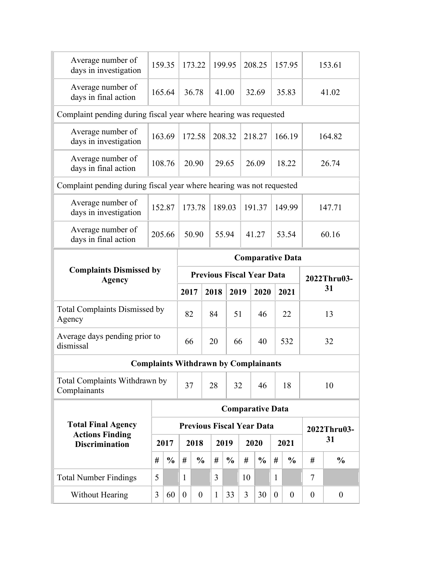| <b>Total Number Findings</b>                                                 | 5                                                                          |               |      |                                          | 3    |               |    |                         |      |               |    |                   |
|------------------------------------------------------------------------------|----------------------------------------------------------------------------|---------------|------|------------------------------------------|------|---------------|----|-------------------------|------|---------------|----|-------------------|
|                                                                              |                                                                            |               | 1    |                                          |      |               | 10 |                         | 1    |               | 7  |                   |
|                                                                              | #                                                                          | $\frac{6}{9}$ | #    | $\frac{0}{0}$                            | #    | $\frac{0}{0}$ | #  | $\frac{0}{0}$           | #    | $\frac{0}{0}$ | #  | $\frac{0}{0}$     |
| <b>Total Final Agency</b><br><b>Actions Finding</b><br><b>Discrimination</b> |                                                                            | 2017          |      | <b>Previous Fiscal Year Data</b><br>2018 |      | 2019          |    | 2020                    | 2021 |               |    | 2022Thru03-<br>31 |
|                                                                              |                                                                            |               |      |                                          |      |               |    | <b>Comparative Data</b> |      |               |    |                   |
| Total Complaints Withdrawn by<br>Complainants                                |                                                                            |               | 37   |                                          | 28   | 32            |    | 46                      |      | 18            |    | 10                |
| <b>Complaints Withdrawn by Complainants</b>                                  |                                                                            |               |      |                                          |      |               |    |                         |      |               |    |                   |
| Average days pending prior to<br>dismissal                                   |                                                                            |               | 66   |                                          | 20   | 66            |    | 40                      |      | 532           | 32 |                   |
| <b>Total Complaints Dismissed by</b><br>Agency                               |                                                                            |               | 82   |                                          | 84   | 51            |    | 46                      |      | 22            |    | 13                |
| <b>Agency</b>                                                                |                                                                            |               | 2017 |                                          | 2018 | 2019          |    | 2020                    |      | 2021          |    | 31                |
| <b>Complaints Dismissed by</b>                                               | <b>Comparative Data</b><br><b>Previous Fiscal Year Data</b><br>2022Thru03- |               |      |                                          |      |               |    |                         |      |               |    |                   |
| Average number of<br>days in final action                                    |                                                                            | 205.66        |      | 50.90                                    |      | 55.94         |    | 41.27                   |      | 53.54         |    | 60.16             |
| Average number of<br>days in investigation                                   |                                                                            | 152.87        |      | 173.78                                   |      | 189.03        |    | 191.37                  |      | 149.99        |    | 147.71            |
| Complaint pending during fiscal year where hearing was not requested         |                                                                            |               |      |                                          |      |               |    |                         |      |               |    |                   |
| Average number of<br>days in final action                                    |                                                                            | 108.76        |      | 20.90                                    |      | 29.65         |    | 26.09                   |      | 18.22         |    | 26.74             |
| Average number of<br>days in investigation                                   |                                                                            | 163.69        |      | 172.58                                   |      | 208.32        |    | 218.27                  |      | 166.19        |    | 164.82            |
| Complaint pending during fiscal year where hearing was requested             |                                                                            |               |      |                                          |      |               |    |                         |      |               |    |                   |
| Average number of<br>days in final action                                    |                                                                            | 165.64        |      | 36.78                                    |      | 41.00         |    | 32.69                   |      | 35.83         |    | 41.02             |
| Average number of<br>days in investigation                                   |                                                                            | 159.35        |      | 173.22                                   |      | 199.95        |    | 208.25                  |      | 157.95        |    | 153.61            |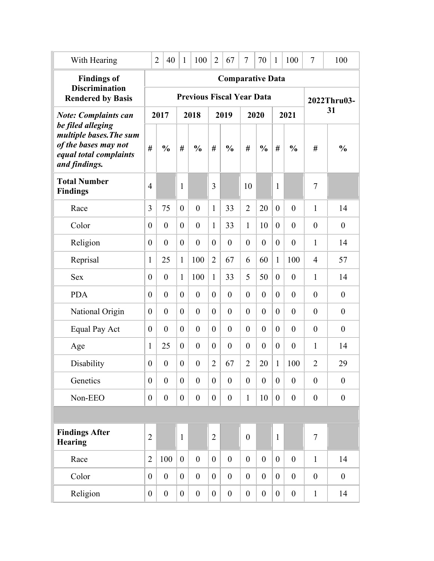| With Hearing                                                                                                    |                  | $\overline{2}$<br>40 | $\mathbf{1}$     | 100                              | $\overline{2}$   | 67                      | 7                | 70               | $\mathbf{1}$     | 100              | $\tau$           | 100              |
|-----------------------------------------------------------------------------------------------------------------|------------------|----------------------|------------------|----------------------------------|------------------|-------------------------|------------------|------------------|------------------|------------------|------------------|------------------|
| <b>Findings of</b><br><b>Discrimination</b>                                                                     |                  |                      |                  |                                  |                  | <b>Comparative Data</b> |                  |                  |                  |                  |                  |                  |
| <b>Rendered by Basis</b>                                                                                        |                  |                      |                  | <b>Previous Fiscal Year Data</b> |                  |                         |                  |                  |                  |                  |                  | 2022Thru03-      |
| <b>Note: Complaints can</b>                                                                                     |                  | 2017                 |                  | 2018                             |                  | 2019                    |                  | 2020             |                  | 2021             |                  | 31               |
| be filed alleging<br>multiple bases. The sum<br>of the bases may not<br>equal total complaints<br>and findings. | #                | $\frac{0}{0}$        | #                | $\frac{0}{0}$                    | #                | $\frac{0}{0}$           | #                | $\frac{0}{0}$    | #                | $\frac{0}{0}$    | #                | $\frac{0}{0}$    |
| <b>Total Number</b><br><b>Findings</b>                                                                          | $\overline{4}$   |                      | $\mathbf{1}$     |                                  | 3                |                         | 10               |                  | $\mathbf{1}$     |                  | 7                |                  |
| Race                                                                                                            | 3                | 75                   | $\overline{0}$   | $\overline{0}$                   | $\mathbf{1}$     | 33                      | $\overline{2}$   | 20               | $\overline{0}$   | $\theta$         | $\mathbf{1}$     | 14               |
| Color                                                                                                           | $\boldsymbol{0}$ | $\overline{0}$       | $\overline{0}$   | $\overline{0}$                   | 1                | 33                      | $\mathbf{1}$     | 10               | $\theta$         | $\overline{0}$   | $\overline{0}$   | $\overline{0}$   |
| Religion                                                                                                        | $\boldsymbol{0}$ | $\overline{0}$       | $\overline{0}$   | $\overline{0}$                   | $\theta$         | $\overline{0}$          | $\overline{0}$   | $\overline{0}$   | $\theta$         | $\overline{0}$   | 1                | 14               |
| Reprisal                                                                                                        | $\mathbf{1}$     | 25                   | $\mathbf{1}$     | 100                              | $\overline{2}$   | 67                      | 6                | 60               | $\mathbf{1}$     | 100              | 4                | 57               |
| <b>Sex</b>                                                                                                      | $\boldsymbol{0}$ | $\boldsymbol{0}$     | $\mathbf{1}$     | 100                              | $\mathbf{1}$     | 33                      | 5                | 50               | $\theta$         | $\theta$         | 1                | 14               |
| <b>PDA</b>                                                                                                      | $\boldsymbol{0}$ | $\boldsymbol{0}$     | $\theta$         | $\theta$                         | $\theta$         | $\theta$                | $\theta$         | $\theta$         | $\overline{0}$   | $\theta$         | $\boldsymbol{0}$ | $\boldsymbol{0}$ |
| National Origin                                                                                                 | $\boldsymbol{0}$ | $\overline{0}$       | $\theta$         | $\theta$                         | $\theta$         | $\theta$                | $\theta$         | $\overline{0}$   | $\overline{0}$   | $\theta$         | $\boldsymbol{0}$ | $\boldsymbol{0}$ |
| Equal Pay Act                                                                                                   | $\boldsymbol{0}$ | $\overline{0}$       | $\theta$         | $\theta$                         | $\theta$         | $\theta$                | $\theta$         | $\overline{0}$   | $\overline{0}$   | $\theta$         | $\boldsymbol{0}$ | $\boldsymbol{0}$ |
| Age                                                                                                             | $\mathbf{1}$     | 25                   | $\boldsymbol{0}$ | $\boldsymbol{0}$                 | $\theta$         | $\theta$                | $\boldsymbol{0}$ | $\boldsymbol{0}$ | $\boldsymbol{0}$ | $\boldsymbol{0}$ | 1                | 14               |
| Disability                                                                                                      | $\boldsymbol{0}$ | $\boldsymbol{0}$     | $\boldsymbol{0}$ | $\boldsymbol{0}$                 | $\overline{2}$   | 67                      | $\overline{2}$   | 20               | $\mathbf{1}$     | 100              | $\overline{2}$   | 29               |
| Genetics                                                                                                        | $\boldsymbol{0}$ | $\boldsymbol{0}$     | $\boldsymbol{0}$ | $\overline{0}$                   | $\overline{0}$   | $\overline{0}$          | $\boldsymbol{0}$ | $\overline{0}$   | $\overline{0}$   | $\theta$         | $\theta$         | $\overline{0}$   |
| Non-EEO                                                                                                         | $\boldsymbol{0}$ | $\boldsymbol{0}$     | $\boldsymbol{0}$ | $\boldsymbol{0}$                 | $\boldsymbol{0}$ | $\boldsymbol{0}$        | $\mathbf{1}$     | 10               | $\mathbf{0}$     | $\boldsymbol{0}$ | $\boldsymbol{0}$ | $\boldsymbol{0}$ |
|                                                                                                                 |                  |                      |                  |                                  |                  |                         |                  |                  |                  |                  |                  |                  |
| <b>Findings After</b><br><b>Hearing</b>                                                                         | $\overline{2}$   |                      | $\mathbf{1}$     |                                  | $\overline{2}$   |                         | $\boldsymbol{0}$ |                  | $\mathbf{1}$     |                  | $\overline{7}$   |                  |
| Race                                                                                                            | $\overline{2}$   | 100                  | $\overline{0}$   | $\mathbf{0}$                     | $\overline{0}$   | $\overline{0}$          | $\overline{0}$   | $\overline{0}$   | $\overline{0}$   | $\overline{0}$   | $\mathbf{1}$     | 14               |
| Color                                                                                                           | $\overline{0}$   | $\boldsymbol{0}$     | $\overline{0}$   | $\overline{0}$                   | $\overline{0}$   | $\overline{0}$          | $\overline{0}$   | $\overline{0}$   | $\overline{0}$   | $\overline{0}$   | $\theta$         | $\overline{0}$   |
| Religion                                                                                                        | $\boldsymbol{0}$ | $\boldsymbol{0}$     | $\boldsymbol{0}$ | $\boldsymbol{0}$                 | $\overline{0}$   | $\boldsymbol{0}$        | $\boldsymbol{0}$ | $\boldsymbol{0}$ | $\overline{0}$   | $\boldsymbol{0}$ | $\mathbf{1}$     | 14               |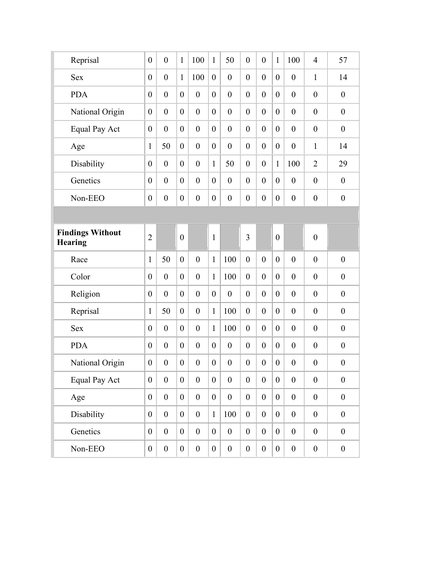| Reprisal                           | $\boldsymbol{0}$ | $\boldsymbol{0}$ | $\mathbf{1}$     | 100              | $\mathbf{1}$     | 50               | $\boldsymbol{0}$ | $\boldsymbol{0}$ | $\mathbf{1}$     | 100              | $\overline{4}$   | 57               |
|------------------------------------|------------------|------------------|------------------|------------------|------------------|------------------|------------------|------------------|------------------|------------------|------------------|------------------|
| <b>Sex</b>                         | $\boldsymbol{0}$ | $\boldsymbol{0}$ | $\mathbf{1}$     | 100              | $\theta$         | $\overline{0}$   | $\boldsymbol{0}$ | $\overline{0}$   | $\overline{0}$   | $\boldsymbol{0}$ | 1                | 14               |
| <b>PDA</b>                         | $\boldsymbol{0}$ | $\boldsymbol{0}$ | $\boldsymbol{0}$ | $\boldsymbol{0}$ | $\theta$         | $\mathbf{0}$     | $\boldsymbol{0}$ | $\boldsymbol{0}$ | $\overline{0}$   | $\boldsymbol{0}$ | $\boldsymbol{0}$ | $\boldsymbol{0}$ |
| National Origin                    | $\boldsymbol{0}$ | $\boldsymbol{0}$ | $\boldsymbol{0}$ | $\boldsymbol{0}$ | $\theta$         | $\mathbf{0}$     | $\boldsymbol{0}$ | $\boldsymbol{0}$ | $\overline{0}$   | $\boldsymbol{0}$ | $\boldsymbol{0}$ | $\boldsymbol{0}$ |
| <b>Equal Pay Act</b>               | $\boldsymbol{0}$ | $\boldsymbol{0}$ | $\boldsymbol{0}$ | $\boldsymbol{0}$ | $\theta$         | $\mathbf{0}$     | $\boldsymbol{0}$ | $\overline{0}$   | $\overline{0}$   | $\boldsymbol{0}$ | $\boldsymbol{0}$ | $\boldsymbol{0}$ |
| Age                                | $\mathbf{1}$     | 50               | $\boldsymbol{0}$ | $\boldsymbol{0}$ | $\theta$         | $\mathbf{0}$     | $\boldsymbol{0}$ | $\boldsymbol{0}$ | $\overline{0}$   | $\boldsymbol{0}$ | $\mathbf{1}$     | 14               |
| Disability                         | $\boldsymbol{0}$ | $\boldsymbol{0}$ | $\boldsymbol{0}$ | $\boldsymbol{0}$ | $\mathbf{1}$     | 50               | $\boldsymbol{0}$ | $\mathbf{0}$     | $\mathbf{1}$     | 100              | $\overline{2}$   | 29               |
| Genetics                           | $\boldsymbol{0}$ | $\boldsymbol{0}$ | $\boldsymbol{0}$ | $\boldsymbol{0}$ | $\theta$         | $\mathbf{0}$     | $\boldsymbol{0}$ | $\mathbf{0}$     | $\overline{0}$   | $\mathbf{0}$     | $\boldsymbol{0}$ | $\boldsymbol{0}$ |
| Non-EEO                            | $\boldsymbol{0}$ | $\boldsymbol{0}$ | $\boldsymbol{0}$ | $\boldsymbol{0}$ | $\boldsymbol{0}$ | $\boldsymbol{0}$ | $\boldsymbol{0}$ | $\boldsymbol{0}$ | $\boldsymbol{0}$ | $\boldsymbol{0}$ | $\boldsymbol{0}$ | $\boldsymbol{0}$ |
|                                    |                  |                  |                  |                  |                  |                  |                  |                  |                  |                  |                  |                  |
| <b>Findings Without</b><br>Hearing | $\overline{2}$   |                  | $\boldsymbol{0}$ |                  | $\mathbf{1}$     |                  | 3                |                  | $\boldsymbol{0}$ |                  | $\boldsymbol{0}$ |                  |
| Race                               | $\mathbf{1}$     | 50               | $\boldsymbol{0}$ | $\boldsymbol{0}$ | $\mathbf{1}$     | 100              | $\boldsymbol{0}$ | $\boldsymbol{0}$ | $\overline{0}$   | $\mathbf{0}$     | $\boldsymbol{0}$ | $\boldsymbol{0}$ |
| Color                              | $\boldsymbol{0}$ | $\boldsymbol{0}$ | $\theta$         | $\boldsymbol{0}$ | $\mathbf{1}$     | 100              | $\boldsymbol{0}$ | $\overline{0}$   | $\overline{0}$   | $\mathbf{0}$     | $\boldsymbol{0}$ | $\boldsymbol{0}$ |
| Religion                           | $\boldsymbol{0}$ | $\boldsymbol{0}$ | $\theta$         | $\boldsymbol{0}$ | $\theta$         | $\boldsymbol{0}$ | $\boldsymbol{0}$ | $\overline{0}$   | $\overline{0}$   | $\boldsymbol{0}$ | $\boldsymbol{0}$ | $\boldsymbol{0}$ |
| Reprisal                           | $\mathbf{1}$     | 50               | $\theta$         | $\boldsymbol{0}$ | $\mathbf{1}$     | 100              | $\boldsymbol{0}$ | $\overline{0}$   | $\overline{0}$   | $\boldsymbol{0}$ | $\boldsymbol{0}$ | $\boldsymbol{0}$ |
| <b>Sex</b>                         | $\boldsymbol{0}$ | $\boldsymbol{0}$ | $\theta$         | $\boldsymbol{0}$ | $\mathbf{1}$     | 100              | $\boldsymbol{0}$ | $\overline{0}$   | $\overline{0}$   | $\boldsymbol{0}$ | $\boldsymbol{0}$ | $\boldsymbol{0}$ |
| <b>PDA</b>                         | $\boldsymbol{0}$ | $\boldsymbol{0}$ | $\boldsymbol{0}$ | $\boldsymbol{0}$ | $\theta$         | $\boldsymbol{0}$ | $\boldsymbol{0}$ | $\boldsymbol{0}$ | $\overline{0}$   | $\boldsymbol{0}$ | $\boldsymbol{0}$ | $\boldsymbol{0}$ |
| National Origin                    | $\boldsymbol{0}$ | $\boldsymbol{0}$ | $\boldsymbol{0}$ | $\boldsymbol{0}$ | $\boldsymbol{0}$ | $\boldsymbol{0}$ | $\boldsymbol{0}$ | $\boldsymbol{0}$ | $\boldsymbol{0}$ | $\boldsymbol{0}$ | $\boldsymbol{0}$ | $\boldsymbol{0}$ |
| <b>Equal Pay Act</b>               | $\boldsymbol{0}$ | $\boldsymbol{0}$ | $\boldsymbol{0}$ | $\boldsymbol{0}$ | $\overline{0}$   | $\boldsymbol{0}$ | $\boldsymbol{0}$ | $\boldsymbol{0}$ | $\overline{0}$   | $\boldsymbol{0}$ | $\boldsymbol{0}$ | $\boldsymbol{0}$ |
| Age                                | $\boldsymbol{0}$ | $\boldsymbol{0}$ | $\boldsymbol{0}$ | $\boldsymbol{0}$ | $\overline{0}$   | $\boldsymbol{0}$ | $\boldsymbol{0}$ | $\boldsymbol{0}$ | $\overline{0}$   | $\boldsymbol{0}$ | $\boldsymbol{0}$ | $\boldsymbol{0}$ |
| Disability                         | $\boldsymbol{0}$ | $\boldsymbol{0}$ | $\boldsymbol{0}$ | $\boldsymbol{0}$ | $\mathbf{1}$     | 100              | $\boldsymbol{0}$ | $\boldsymbol{0}$ | $\overline{0}$   | $\boldsymbol{0}$ | $\boldsymbol{0}$ | $\boldsymbol{0}$ |
| Genetics                           | $\boldsymbol{0}$ | $\boldsymbol{0}$ | $\boldsymbol{0}$ | $\boldsymbol{0}$ | $\overline{0}$   | $\boldsymbol{0}$ | $\boldsymbol{0}$ | $\boldsymbol{0}$ | $\overline{0}$   | $\boldsymbol{0}$ | $\boldsymbol{0}$ | $\boldsymbol{0}$ |
| Non-EEO                            | $\boldsymbol{0}$ | $\boldsymbol{0}$ | $\boldsymbol{0}$ | $\boldsymbol{0}$ | $\overline{0}$   | $\boldsymbol{0}$ | $\boldsymbol{0}$ | $\boldsymbol{0}$ | $\overline{0}$   | $\boldsymbol{0}$ | $\boldsymbol{0}$ | $\overline{0}$   |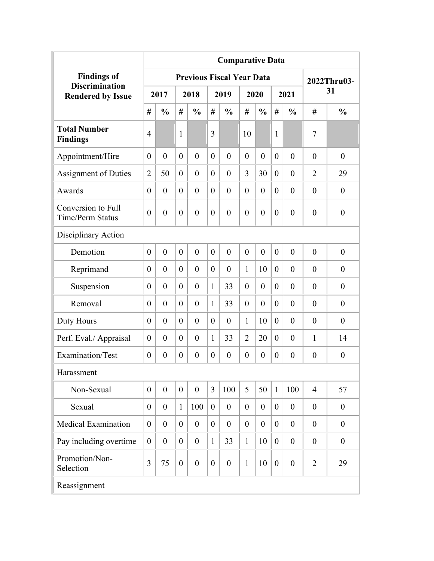|                                                   | <b>Comparative Data</b><br><b>Previous Fiscal Year Data</b> |                  |                |                  |                  |                  |                |                  |                |                  |                  |                  |  |
|---------------------------------------------------|-------------------------------------------------------------|------------------|----------------|------------------|------------------|------------------|----------------|------------------|----------------|------------------|------------------|------------------|--|
| <b>Findings of</b>                                |                                                             |                  |                |                  |                  |                  |                |                  |                |                  |                  | 2022Thru03-      |  |
| <b>Discrimination</b><br><b>Rendered by Issue</b> |                                                             | 2017             |                | 2018             |                  | 2019             |                | 2020             |                | 2021             |                  | 31               |  |
|                                                   | #                                                           | $\frac{0}{0}$    | #              | $\frac{0}{0}$    | #                | $\frac{0}{0}$    | #              | $\frac{0}{0}$    | #              | $\frac{0}{0}$    | #                | $\frac{0}{0}$    |  |
| <b>Total Number</b><br><b>Findings</b>            | $\overline{4}$                                              |                  | 1              |                  | 3                |                  | 10             |                  | 1              |                  | $\tau$           |                  |  |
| Appointment/Hire                                  | $\theta$                                                    | $\overline{0}$   | $\theta$       | $\theta$         | $\theta$         | $\theta$         | $\theta$       | $\theta$         | $\theta$       | $\overline{0}$   | $\theta$         | $\overline{0}$   |  |
| Assignment of Duties                              | $\overline{2}$                                              | 50               | $\theta$       | $\theta$         | $\theta$         | $\theta$         | 3              | 30               | $\overline{0}$ | $\overline{0}$   | $\overline{2}$   | 29               |  |
| Awards                                            | $\theta$                                                    | $\theta$         | $\theta$       | $\theta$         | $\theta$         | $\theta$         | $\theta$       | $\theta$         | $\theta$       | $\theta$         | $\theta$         | $\theta$         |  |
| Conversion to Full<br><b>Time/Perm Status</b>     | $\theta$                                                    | $\overline{0}$   | $\overline{0}$ | $\overline{0}$   | $\theta$         | $\overline{0}$   | $\theta$       | $\overline{0}$   | $\theta$       | $\overline{0}$   | $\theta$         | $\boldsymbol{0}$ |  |
| Disciplinary Action                               |                                                             |                  |                |                  |                  |                  |                |                  |                |                  |                  |                  |  |
| Demotion                                          | $\theta$                                                    | $\overline{0}$   | $\theta$       | $\theta$         | $\theta$         | $\theta$         | $\theta$       | $\theta$         | $\theta$       | $\theta$         | $\theta$         | $\theta$         |  |
| Reprimand                                         | $\Omega$                                                    | $\theta$         | $\theta$       | $\theta$         | $\theta$         | $\theta$         | $\mathbf{1}$   | 10               | $\theta$       | $\theta$         | $\theta$         | $\theta$         |  |
| Suspension                                        | $\theta$                                                    | $\theta$         | $\theta$       | $\theta$         | 1                | 33               | $\theta$       | $\theta$         | $\theta$       | $\theta$         | $\theta$         | $\theta$         |  |
| Removal                                           | $\theta$                                                    | $\theta$         | $\theta$       | $\theta$         | $\mathbf{1}$     | 33               | $\theta$       | $\theta$         | $\overline{0}$ | $\theta$         | $\theta$         | $\theta$         |  |
| Duty Hours                                        | $\theta$                                                    | $\theta$         | $\theta$       | $\theta$         | $\theta$         | $\theta$         | $\mathbf{1}$   | 10               | $\overline{0}$ | $\theta$         | $\theta$         | $\theta$         |  |
| Perf. Eval./ Appraisal                            | $\theta$                                                    | $\theta$         | $\theta$       | $\theta$         | $\mathbf{1}$     | 33               | $\overline{2}$ | 20               | $\overline{0}$ | $\theta$         | $\mathbf{1}$     | 14               |  |
| Examination/Test                                  | $\theta$                                                    | $\boldsymbol{0}$ | $\theta$       | $\overline{0}$   | $\theta$         | $\theta$         | $\theta$       | $\boldsymbol{0}$ | $\overline{0}$ | $\boldsymbol{0}$ | $\theta$         | $\boldsymbol{0}$ |  |
| Harassment                                        |                                                             |                  |                |                  |                  |                  |                |                  |                |                  |                  |                  |  |
| Non-Sexual                                        | $\theta$                                                    | $\mathbf{0}$     | $\theta$       | $\boldsymbol{0}$ | $\overline{3}$   | 100              | 5              | 50               | $\mathbf{1}$   | 100              | $\overline{4}$   | 57               |  |
| Sexual                                            | $\theta$                                                    | $\boldsymbol{0}$ | $\mathbf{1}$   | 100              | $\overline{0}$   | $\overline{0}$   | $\theta$       | $\overline{0}$   | $\theta$       | $\boldsymbol{0}$ | $\boldsymbol{0}$ | $\boldsymbol{0}$ |  |
| <b>Medical Examination</b>                        | $\theta$                                                    | $\overline{0}$   | $\theta$       | $\mathbf{0}$     | $\overline{0}$   | $\overline{0}$   | $\theta$       | $\overline{0}$   | $\overline{0}$ | $\overline{0}$   | $\theta$         | $\theta$         |  |
| Pay including overtime                            | $\overline{0}$                                              | $\theta$         | $\theta$       | $\mathbf{0}$     | $\mathbf{1}$     | 33               | $\mathbf{1}$   | 10               | $\overline{0}$ | $\overline{0}$   | $\theta$         | $\theta$         |  |
| Promotion/Non-<br>Selection                       | 3                                                           | 75               | $\overline{0}$ | $\boldsymbol{0}$ | $\boldsymbol{0}$ | $\boldsymbol{0}$ | $\mathbf{1}$   | 10               | $\theta$       | $\boldsymbol{0}$ | $\overline{2}$   | 29               |  |
| Reassignment                                      |                                                             |                  |                |                  |                  |                  |                |                  |                |                  |                  |                  |  |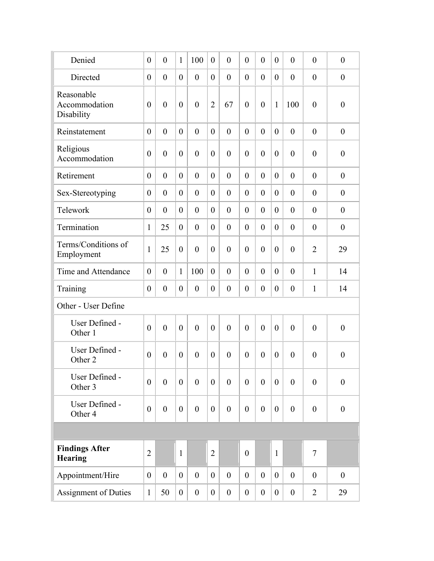| Denied                                    | $\theta$       | $\overline{0}$ | $\mathbf{1}$   | 100              | $\theta$         | $\overline{0}$   | $\theta$         | $\theta$         | $\theta$       | $\theta$         | $\theta$         | $\overline{0}$   |
|-------------------------------------------|----------------|----------------|----------------|------------------|------------------|------------------|------------------|------------------|----------------|------------------|------------------|------------------|
| Directed                                  | $\theta$       | $\overline{0}$ | $\theta$       | $\theta$         | $\overline{0}$   | $\overline{0}$   | $\theta$         | $\theta$         | $\theta$       | $\boldsymbol{0}$ | $\boldsymbol{0}$ | $\boldsymbol{0}$ |
| Reasonable<br>Accommodation<br>Disability | $\theta$       | $\overline{0}$ | $\theta$       | $\mathbf{0}$     | $\overline{2}$   | 67               | $\theta$         | $\overline{0}$   | $\mathbf{1}$   | 100              | $\theta$         | $\boldsymbol{0}$ |
| Reinstatement                             | $\theta$       | $\overline{0}$ | $\theta$       | $\theta$         | $\theta$         | $\theta$         | $\theta$         | $\theta$         | $\theta$       | $\overline{0}$   | $\theta$         | $\theta$         |
| Religious<br>Accommodation                | $\theta$       | $\overline{0}$ | $\theta$       | $\theta$         | $\theta$         | $\overline{0}$   | $\overline{0}$   | $\overline{0}$   | $\theta$       | $\boldsymbol{0}$ | $\theta$         | $\boldsymbol{0}$ |
| Retirement                                | $\theta$       | $\overline{0}$ | $\theta$       | $\theta$         | $\overline{0}$   | $\overline{0}$   | $\theta$         | $\theta$         | $\theta$       | $\overline{0}$   | $\theta$         | $\theta$         |
| Sex-Stereotyping                          | $\theta$       | $\theta$       | $\theta$       | $\theta$         | $\theta$         | $\theta$         | $\theta$         | $\theta$         | $\overline{0}$ | $\theta$         | $\theta$         | $\theta$         |
| Telework                                  | $\theta$       | $\theta$       | $\theta$       | $\theta$         | $\theta$         | $\overline{0}$   | $\theta$         | $\theta$         | $\overline{0}$ | $\theta$         | $\theta$         | $\theta$         |
| Termination                               | 1              | 25             | $\theta$       | $\theta$         | $\overline{0}$   | $\theta$         | $\theta$         | $\theta$         | $\overline{0}$ | $\theta$         | $\theta$         | $\boldsymbol{0}$ |
| Terms/Conditions of<br>Employment         | $\mathbf{1}$   | 25             | $\theta$       | $\theta$         | $\theta$         | $\theta$         | $\theta$         | $\overline{0}$   | $\theta$       | $\overline{0}$   | $\overline{2}$   | 29               |
| Time and Attendance                       | $\theta$       | $\overline{0}$ | 1              | 100              | $\theta$         | $\overline{0}$   | $\theta$         | $\theta$         | $\theta$       | $\overline{0}$   | $\mathbf{1}$     | 14               |
| Training                                  | $\theta$       | $\overline{0}$ | $\theta$       | $\theta$         | $\theta$         | $\overline{0}$   | $\theta$         | $\theta$         | $\theta$       | $\boldsymbol{0}$ | 1                | 14               |
| Other - User Define                       |                |                |                |                  |                  |                  |                  |                  |                |                  |                  |                  |
| User Defined -<br>Other 1                 | $\theta$       | $\overline{0}$ | $\overline{0}$ | $\overline{0}$   | $\overline{0}$   | $\theta$         | $\overline{0}$   | $\overline{0}$   | $\overline{0}$ | $\overline{0}$   | $\theta$         | $\overline{0}$   |
| User Defined -<br>Other 2                 | $\theta$       | $\theta$       | $\overline{0}$ | $\theta$         | $\overline{0}$   | $\theta$         | $\theta$         | $\theta$         | $\theta$       | $\theta$         | $\boldsymbol{0}$ | $\overline{0}$   |
| User Defined -<br>Other 3                 | $\theta$       | $\mathbf{0}$   | $\overline{0}$ | $\overline{0}$   | $\theta$         | $\overline{0}$   | $\theta$         | $\overline{0}$   | $\overline{0}$ | $\overline{0}$   | $\theta$         | $\overline{0}$   |
| User Defined -<br>Other 4                 | $\mathbf{0}$   | $\mathbf{0}$   | $\theta$       | $\overline{0}$   | $\boldsymbol{0}$ | $\overline{0}$   | $\theta$         | $\boldsymbol{0}$ | $\overline{0}$ | $\boldsymbol{0}$ | $\theta$         | $\mathbf{0}$     |
|                                           |                |                |                |                  |                  |                  |                  |                  |                |                  |                  |                  |
| <b>Findings After</b><br><b>Hearing</b>   | $\overline{2}$ |                | $\mathbf{1}$   |                  | $\overline{2}$   |                  | $\boldsymbol{0}$ |                  | $\mathbf{1}$   |                  | $\tau$           |                  |
| Appointment/Hire                          | $\theta$       | $\mathbf{0}$   | $\overline{0}$ | $\overline{0}$   | $\overline{0}$   | $\overline{0}$   | $\overline{0}$   | $\overline{0}$   | $\overline{0}$ | $\overline{0}$   | $\theta$         | $\theta$         |
| Assignment of Duties                      | $\mathbf{1}$   | 50             | $\overline{0}$ | $\boldsymbol{0}$ | $\overline{0}$   | $\boldsymbol{0}$ | $\overline{0}$   | $\overline{0}$   | $\overline{0}$ | $\boldsymbol{0}$ | $\overline{2}$   | 29               |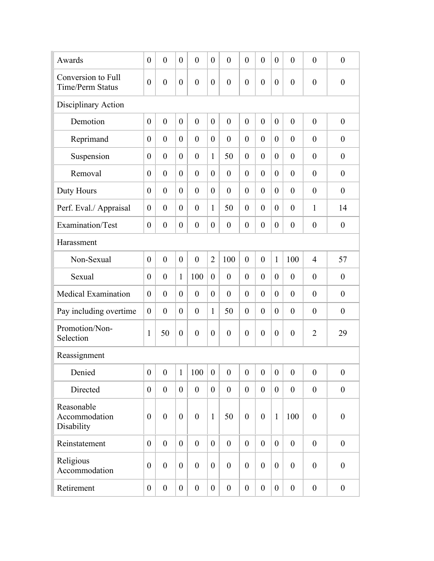| Awards                                        | $\overline{0}$   | $\overline{0}$   | $\theta$         | $\theta$         | $\theta$         | $\theta$         | $\overline{0}$ | $\theta$         | $\theta$         | $\overline{0}$   | $\overline{0}$   | $\overline{0}$   |
|-----------------------------------------------|------------------|------------------|------------------|------------------|------------------|------------------|----------------|------------------|------------------|------------------|------------------|------------------|
| Conversion to Full<br><b>Time/Perm Status</b> | $\overline{0}$   | $\theta$         | $\theta$         | $\overline{0}$   | $\theta$         | $\overline{0}$   | $\overline{0}$ | $\overline{0}$   | $\boldsymbol{0}$ | $\overline{0}$   | $\overline{0}$   | $\overline{0}$   |
| Disciplinary Action                           |                  |                  |                  |                  |                  |                  |                |                  |                  |                  |                  |                  |
| Demotion                                      | $\overline{0}$   | $\overline{0}$   | $\overline{0}$   | $\mathbf{0}$     | $\overline{0}$   | $\overline{0}$   | $\overline{0}$ | $\mathbf{0}$     | $\overline{0}$   | $\overline{0}$   | $\overline{0}$   | $\overline{0}$   |
| Reprimand                                     | $\theta$         | $\theta$         | $\theta$         | $\theta$         | $\theta$         | $\theta$         | $\theta$       | $\theta$         | $\theta$         | $\overline{0}$   | $\overline{0}$   | $\theta$         |
| Suspension                                    | $\overline{0}$   | $\theta$         | $\theta$         | $\theta$         | 1                | 50               | $\theta$       | $\theta$         | $\theta$         | $\overline{0}$   | $\overline{0}$   | $\theta$         |
| Removal                                       | $\theta$         | $\theta$         | $\theta$         | $\theta$         | $\theta$         | $\theta$         | $\theta$       | $\theta$         | $\overline{0}$   | $\overline{0}$   | $\overline{0}$   | $\overline{0}$   |
| Duty Hours                                    | $\overline{0}$   | $\overline{0}$   | $\theta$         | $\theta$         | $\theta$         | $\theta$         | $\theta$       | $\theta$         | $\overline{0}$   | $\overline{0}$   | $\theta$         | $\mathbf{0}$     |
| Perf. Eval./ Appraisal                        | $\theta$         | $\overline{0}$   | $\theta$         | $\theta$         | 1                | 50               | $\overline{0}$ | $\theta$         | $\overline{0}$   | $\overline{0}$   | 1                | 14               |
| Examination/Test                              | $\boldsymbol{0}$ | $\boldsymbol{0}$ | $\theta$         | $\boldsymbol{0}$ | $\overline{0}$   | $\theta$         | $\overline{0}$ | $\theta$         | $\boldsymbol{0}$ | $\overline{0}$   | $\boldsymbol{0}$ | $\boldsymbol{0}$ |
| Harassment                                    |                  |                  |                  |                  |                  |                  |                |                  |                  |                  |                  |                  |
| Non-Sexual                                    | $\overline{0}$   | $\overline{0}$   | $\overline{0}$   | $\mathbf{0}$     | $\overline{2}$   | 100              | $\overline{0}$ | $\mathbf{0}$     | $\mathbf{1}$     | 100              | $\overline{4}$   | 57               |
| Sexual                                        | $\theta$         | $\overline{0}$   | $\mathbf{1}$     | 100              | $\overline{0}$   | $\theta$         | $\overline{0}$ | $\theta$         | $\mathbf{0}$     | $\overline{0}$   | $\theta$         | $\theta$         |
| <b>Medical Examination</b>                    | $\theta$         | $\theta$         | $\theta$         | $\overline{0}$   | $\theta$         | $\overline{0}$   | $\theta$       | $\overline{0}$   | $\mathbf{0}$     | $\overline{0}$   | $\theta$         | $\theta$         |
| Pay including overtime                        | $\theta$         | $\theta$         | $\theta$         | $\overline{0}$   | $\mathbf{1}$     | 50               | $\theta$       | $\overline{0}$   | $\overline{0}$   | $\overline{0}$   | $\boldsymbol{0}$ | $\boldsymbol{0}$ |
| Promotion/Non-<br>Selection                   | $\mathbf{1}$     | 50               | $\theta$         | $\overline{0}$   | $\theta$         | $\overline{0}$   | $\overline{0}$ | $\overline{0}$   | $\theta$         | $\overline{0}$   | $\overline{2}$   | 29               |
| Reassignment                                  |                  |                  |                  |                  |                  |                  |                |                  |                  |                  |                  |                  |
| Denied                                        | $\boldsymbol{0}$ | $\boldsymbol{0}$ | $\mathbf{1}$     | 100              | $\boldsymbol{0}$ | $\overline{0}$   | $\overline{0}$ | $\overline{0}$   | $\boldsymbol{0}$ | $\boldsymbol{0}$ | $\boldsymbol{0}$ | $\boldsymbol{0}$ |
| Directed                                      | $\theta$         | $\overline{0}$   | $\theta$         | $\mathbf{0}$     | $\overline{0}$   | $\mathbf{0}$     | $\overline{0}$ | $\theta$         | $\overline{0}$   | $\overline{0}$   | $\boldsymbol{0}$ | $\boldsymbol{0}$ |
| Reasonable<br>Accommodation<br>Disability     | $\theta$         | $\overline{0}$   | $\theta$         | $\mathbf{0}$     | $\mathbf{1}$     | 50               | $\theta$       | $\theta$         | $\mathbf{1}$     | 100              | $\boldsymbol{0}$ | $\boldsymbol{0}$ |
| Reinstatement                                 | $\overline{0}$   | $\boldsymbol{0}$ | $\overline{0}$   | $\mathbf{0}$     | $\overline{0}$   | $\mathbf{0}$     | $\overline{0}$ | $\mathbf{0}$     | $\overline{0}$   | $\boldsymbol{0}$ | $\boldsymbol{0}$ | $\boldsymbol{0}$ |
| Religious<br>Accommodation                    | $\boldsymbol{0}$ | $\boldsymbol{0}$ | $\theta$         | $\mathbf{0}$     | $\theta$         | $\overline{0}$   | $\overline{0}$ | $\mathbf{0}$     | $\overline{0}$   | $\boldsymbol{0}$ | $\boldsymbol{0}$ | $\boldsymbol{0}$ |
| Retirement                                    | $\boldsymbol{0}$ | $\boldsymbol{0}$ | $\boldsymbol{0}$ | $\boldsymbol{0}$ | $\boldsymbol{0}$ | $\boldsymbol{0}$ | $\overline{0}$ | $\boldsymbol{0}$ | $\boldsymbol{0}$ | $\boldsymbol{0}$ | $\boldsymbol{0}$ | $\boldsymbol{0}$ |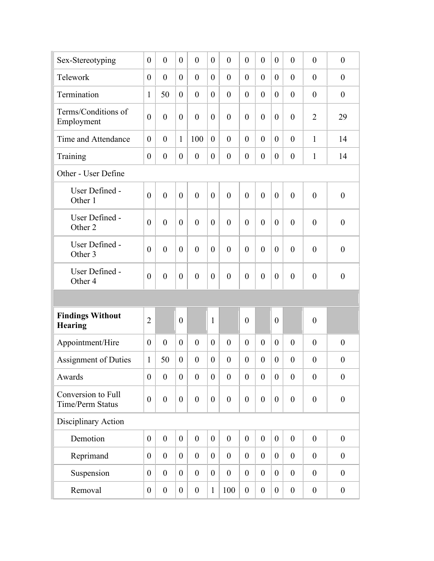| Sex-Stereotyping                              | $\theta$         | $\overline{0}$   | $\theta$         | $\overline{0}$   | $\boldsymbol{0}$ | $\overline{0}$   | $\theta$         | $\overline{0}$   | $\overline{0}$ | $\overline{0}$   | $\overline{0}$   | $\boldsymbol{0}$ |
|-----------------------------------------------|------------------|------------------|------------------|------------------|------------------|------------------|------------------|------------------|----------------|------------------|------------------|------------------|
| Telework                                      | $\theta$         | $\overline{0}$   | $\overline{0}$   | $\overline{0}$   | $\theta$         | $\overline{0}$   | $\theta$         | $\overline{0}$   | $\overline{0}$ | $\overline{0}$   | $\overline{0}$   | $\boldsymbol{0}$ |
| Termination                                   | $\mathbf{1}$     | 50               | $\theta$         | $\overline{0}$   | $\theta$         | $\overline{0}$   | $\theta$         | $\overline{0}$   | $\overline{0}$ | $\overline{0}$   | $\boldsymbol{0}$ | $\boldsymbol{0}$ |
| Terms/Conditions of<br>Employment             | $\overline{0}$   | $\overline{0}$   | $\theta$         | $\overline{0}$   | $\theta$         | $\overline{0}$   | $\theta$         | $\overline{0}$   | $\theta$       | $\overline{0}$   | $\overline{2}$   | 29               |
| Time and Attendance                           | $\overline{0}$   | $\overline{0}$   | $\mathbf{1}$     | 100              | $\overline{0}$   | $\theta$         | $\theta$         | $\theta$         | $\overline{0}$ | $\overline{0}$   | $\mathbf{1}$     | 14               |
| Training                                      | $\theta$         | $\boldsymbol{0}$ | $\theta$         | $\boldsymbol{0}$ | $\theta$         | $\overline{0}$   | $\theta$         | $\overline{0}$   | $\overline{0}$ | $\overline{0}$   | 1                | 14               |
| Other - User Define                           |                  |                  |                  |                  |                  |                  |                  |                  |                |                  |                  |                  |
| User Defined -<br>Other 1                     | $\overline{0}$   | $\overline{0}$   | $\overline{0}$   | $\theta$         | $\overline{0}$   | $\theta$         | $\theta$         | $\overline{0}$   | $\overline{0}$ | $\overline{0}$   | $\overline{0}$   | $\theta$         |
| User Defined -<br>Other 2                     | $\overline{0}$   | $\theta$         | $\overline{0}$   | $\overline{0}$   | $\overline{0}$   | $\overline{0}$   | $\theta$         | $\theta$         | $\theta$       | $\theta$         | $\overline{0}$   | $\overline{0}$   |
| User Defined -<br>Other 3                     | $\theta$         | $\overline{0}$   | $\theta$         | $\overline{0}$   | $\theta$         | $\theta$         | $\theta$         | $\overline{0}$   | $\theta$       | $\theta$         | $\overline{0}$   | $\mathbf{0}$     |
| User Defined -<br>Other <sub>4</sub>          | $\overline{0}$   | $\overline{0}$   | $\theta$         | $\overline{0}$   | $\theta$         | $\overline{0}$   | $\theta$         | $\overline{0}$   | $\theta$       | $\overline{0}$   | $\theta$         | $\overline{0}$   |
|                                               |                  |                  |                  |                  |                  |                  |                  |                  |                |                  |                  |                  |
| <b>Findings Without</b><br><b>Hearing</b>     | $\overline{2}$   |                  | $\overline{0}$   |                  | $\mathbf{1}$     |                  | $\overline{0}$   |                  | $\overline{0}$ |                  | $\boldsymbol{0}$ |                  |
| Appointment/Hire                              | $\theta$         | $\overline{0}$   | $\theta$         | $\overline{0}$   | $\theta$         | $\theta$         | $\theta$         | $\overline{0}$   | $\overline{0}$ | $\overline{0}$   | $\overline{0}$   | $\theta$         |
| <b>Assignment of Duties</b>                   | $\mathbf{1}$     | 50               | $\theta$         | $\overline{0}$   | $\theta$         | $\theta$         | $\theta$         | $\overline{0}$   | $\overline{0}$ | $\overline{0}$   | $\overline{0}$   | $\overline{0}$   |
| Awards                                        | $\boldsymbol{0}$ | $\boldsymbol{0}$ | $\overline{0}$   | $\boldsymbol{0}$ | $\boldsymbol{0}$ | $\boldsymbol{0}$ | $\boldsymbol{0}$ | $\boldsymbol{0}$ | $\overline{0}$ | $\boldsymbol{0}$ | $\boldsymbol{0}$ | $\boldsymbol{0}$ |
| Conversion to Full<br><b>Time/Perm Status</b> | $\boldsymbol{0}$ | $\overline{0}$   | $\overline{0}$   | $\overline{0}$   | $\overline{0}$   | $\overline{0}$   | $\theta$         | $\mathbf{0}$     | $\overline{0}$ | $\boldsymbol{0}$ | $\boldsymbol{0}$ | $\theta$         |
| Disciplinary Action                           |                  |                  |                  |                  |                  |                  |                  |                  |                |                  |                  |                  |
| Demotion                                      | $\boldsymbol{0}$ | $\boldsymbol{0}$ | $\overline{0}$   | $\boldsymbol{0}$ | $\boldsymbol{0}$ | $\boldsymbol{0}$ | $\boldsymbol{0}$ | $\boldsymbol{0}$ | $\overline{0}$ | $\boldsymbol{0}$ | $\boldsymbol{0}$ | $\boldsymbol{0}$ |
| Reprimand                                     | $\boldsymbol{0}$ | $\boldsymbol{0}$ | $\overline{0}$   | $\boldsymbol{0}$ | $\overline{0}$   | $\boldsymbol{0}$ | $\boldsymbol{0}$ | $\boldsymbol{0}$ | $\overline{0}$ | $\boldsymbol{0}$ | $\boldsymbol{0}$ | $\boldsymbol{0}$ |
| Suspension                                    | $\boldsymbol{0}$ | $\boldsymbol{0}$ | $\overline{0}$   | $\overline{0}$   | $\overline{0}$   | $\boldsymbol{0}$ | $\boldsymbol{0}$ | $\overline{0}$   | $\overline{0}$ | $\boldsymbol{0}$ | $\boldsymbol{0}$ | $\boldsymbol{0}$ |
| Removal                                       | $\boldsymbol{0}$ | $\boldsymbol{0}$ | $\boldsymbol{0}$ | $\boldsymbol{0}$ | $\mathbf{1}$     | 100              | $\boldsymbol{0}$ | $\boldsymbol{0}$ | $\overline{0}$ | $\boldsymbol{0}$ | $\boldsymbol{0}$ | $\boldsymbol{0}$ |
|                                               |                  |                  |                  |                  |                  |                  |                  |                  |                |                  |                  |                  |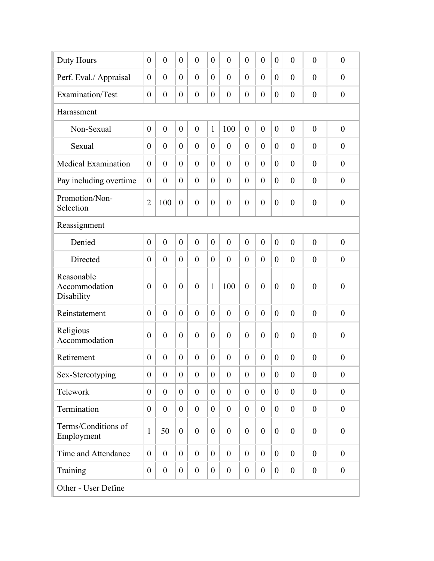| Duty Hours                                | $\theta$         | $\overline{0}$   | $\theta$         | $\mathbf{0}$     | $\theta$         | $\overline{0}$   | $\theta$         | $\theta$         | $\theta$         | $\overline{0}$   | $\theta$         | $\overline{0}$   |
|-------------------------------------------|------------------|------------------|------------------|------------------|------------------|------------------|------------------|------------------|------------------|------------------|------------------|------------------|
| Perf. Eval./ Appraisal                    | $\theta$         | $\overline{0}$   | $\overline{0}$   | $\theta$         | $\theta$         | $\overline{0}$   | $\theta$         | $\theta$         | $\overline{0}$   | $\theta$         | $\theta$         | $\overline{0}$   |
| Examination/Test                          | $\theta$         | $\theta$         | $\theta$         | $\overline{0}$   | $\theta$         | $\overline{0}$   | $\overline{0}$   | $\boldsymbol{0}$ | $\theta$         | $\boldsymbol{0}$ | $\boldsymbol{0}$ | $\boldsymbol{0}$ |
| Harassment                                |                  |                  |                  |                  |                  |                  |                  |                  |                  |                  |                  |                  |
| Non-Sexual                                | $\overline{0}$   | $\overline{0}$   | $\theta$         | $\mathbf{0}$     | $\mathbf{1}$     | 100              | $\theta$         | $\mathbf{0}$     | $\theta$         | $\overline{0}$   | $\theta$         | $\boldsymbol{0}$ |
| Sexual                                    | $\theta$         | $\overline{0}$   | $\theta$         | $\theta$         | $\theta$         | $\theta$         | $\theta$         | $\theta$         | $\theta$         | $\overline{0}$   | $\theta$         | $\overline{0}$   |
| <b>Medical Examination</b>                | $\theta$         | $\overline{0}$   | $\theta$         | $\theta$         | $\theta$         | $\theta$         | $\theta$         | $\overline{0}$   | $\theta$         | $\overline{0}$   | $\theta$         | $\overline{0}$   |
| Pay including overtime                    | $\theta$         | $\theta$         | $\theta$         | $\theta$         | $\theta$         | $\theta$         | $\theta$         | $\theta$         | $\theta$         | $\overline{0}$   | $\theta$         | $\overline{0}$   |
| Promotion/Non-<br>Selection               | $\overline{2}$   | 100              | $\overline{0}$   | $\overline{0}$   | $\theta$         | $\overline{0}$   | $\overline{0}$   | $\overline{0}$   | $\theta$         | $\overline{0}$   | $\theta$         | $\boldsymbol{0}$ |
| Reassignment                              |                  |                  |                  |                  |                  |                  |                  |                  |                  |                  |                  |                  |
| Denied                                    | $\theta$         | $\overline{0}$   | $\mathbf{0}$     | $\mathbf{0}$     | $\theta$         | $\overline{0}$   | $\mathbf{0}$     | $\mathbf{0}$     | $\theta$         | $\overline{0}$   | $\theta$         | $\theta$         |
| Directed                                  | $\theta$         | $\theta$         | $\theta$         | $\theta$         | $\theta$         | $\theta$         | $\theta$         | $\overline{0}$   | $\theta$         | $\theta$         | $\theta$         | $\theta$         |
| Reasonable<br>Accommodation<br>Disability | $\theta$         | $\overline{0}$   | $\theta$         | $\theta$         | 1                | 100              | $\theta$         | $\overline{0}$   | $\theta$         | $\overline{0}$   | $\theta$         | $\boldsymbol{0}$ |
| Reinstatement                             | $\theta$         | $\overline{0}$   | $\theta$         | $\theta$         | $\theta$         | $\theta$         | $\theta$         | $\mathbf{0}$     | $\theta$         | $\overline{0}$   | $\theta$         | $\overline{0}$   |
| Religious<br>Accommodation                | $\theta$         | $\overline{0}$   | $\theta$         | $\theta$         | $\theta$         | $\theta$         | $\overline{0}$   | $\overline{0}$   | $\theta$         | $\overline{0}$   | $\theta$         | $\overline{0}$   |
| Retirement                                | $\theta$         | $\overline{0}$   | $\theta$         | $\theta$         | $\Omega$         | $\theta$         | $\theta$         | $\theta$         | $\Omega$         | $\overline{0}$   | $\theta$         | $\overline{0}$   |
| Sex-Stereotyping                          | $\boldsymbol{0}$ | $\boldsymbol{0}$ | $\boldsymbol{0}$ | $\boldsymbol{0}$ | $\boldsymbol{0}$ | $\boldsymbol{0}$ | $\boldsymbol{0}$ | $\boldsymbol{0}$ | $\boldsymbol{0}$ | $\boldsymbol{0}$ | $\boldsymbol{0}$ | $\boldsymbol{0}$ |
| Telework                                  | $\theta$         | $\boldsymbol{0}$ | $\overline{0}$   | $\overline{0}$   | $\overline{0}$   | $\boldsymbol{0}$ | $\overline{0}$   | $\boldsymbol{0}$ | $\overline{0}$   | $\boldsymbol{0}$ | $\boldsymbol{0}$ | $\boldsymbol{0}$ |
| Termination                               | $\theta$         | $\theta$         | $\overline{0}$   | $\mathbf{0}$     | $\overline{0}$   | $\boldsymbol{0}$ | $\theta$         | $\boldsymbol{0}$ | $\overline{0}$   | $\boldsymbol{0}$ | $\boldsymbol{0}$ | $\boldsymbol{0}$ |
| Terms/Conditions of<br>Employment         | $\mathbf{1}$     | 50               | $\theta$         | $\mathbf{0}$     | $\overline{0}$   | $\overline{0}$   | $\theta$         | $\theta$         | $\boldsymbol{0}$ | $\boldsymbol{0}$ | $\theta$         | $\boldsymbol{0}$ |
| Time and Attendance                       | $\theta$         | $\theta$         | $\overline{0}$   | $\overline{0}$   | $\overline{0}$   | $\overline{0}$   | $\overline{0}$   | $\mathbf{0}$     | $\overline{0}$   | $\boldsymbol{0}$ | $\boldsymbol{0}$ | $\boldsymbol{0}$ |
| Training                                  | $\boldsymbol{0}$ | $\boldsymbol{0}$ | $\boldsymbol{0}$ | $\boldsymbol{0}$ | $\overline{0}$   | $\boldsymbol{0}$ | $\boldsymbol{0}$ | $\boldsymbol{0}$ | $\boldsymbol{0}$ | $\boldsymbol{0}$ | $\boldsymbol{0}$ | $\boldsymbol{0}$ |
| Other - User Define                       |                  |                  |                  |                  |                  |                  |                  |                  |                  |                  |                  |                  |